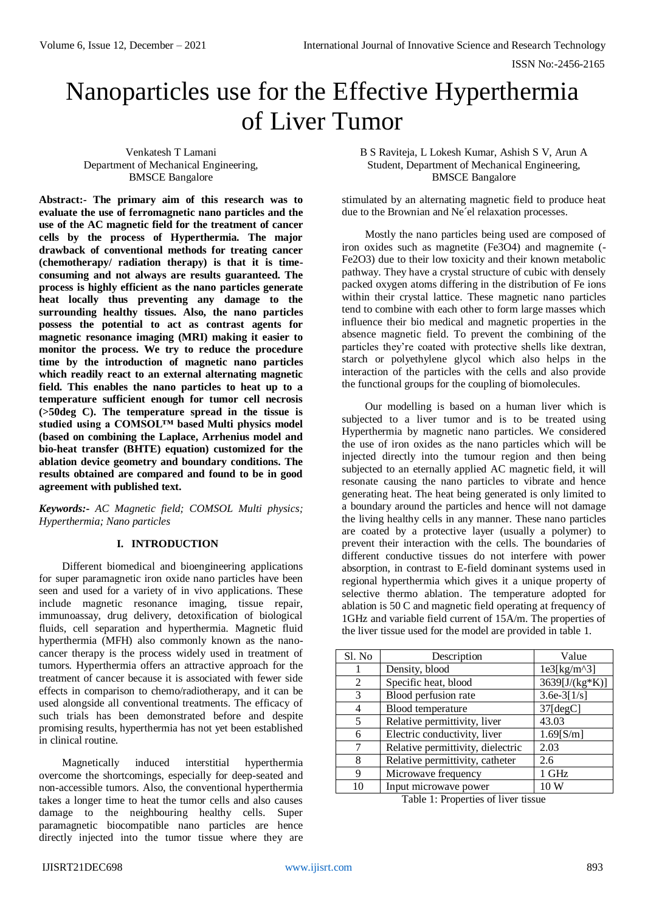ISSN No:-2456-2165

# Nanoparticles use for the Effective Hyperthermia of Liver Tumor

Venkatesh T Lamani Department of Mechanical Engineering, BMSCE Bangalore

**Abstract:- The primary aim of this research was to evaluate the use of ferromagnetic nano particles and the use of the AC magnetic field for the treatment of cancer cells by the process of Hyperthermia. The major drawback of conventional methods for treating cancer (chemotherapy/ radiation therapy) is that it is timeconsuming and not always are results guaranteed. The process is highly efficient as the nano particles generate heat locally thus preventing any damage to the surrounding healthy tissues. Also, the nano particles possess the potential to act as contrast agents for magnetic resonance imaging (MRI) making it easier to monitor the process. We try to reduce the procedure time by the introduction of magnetic nano particles which readily react to an external alternating magnetic field. This enables the nano particles to heat up to a temperature sufficient enough for tumor cell necrosis (>50deg C). The temperature spread in the tissue is studied using a COMSOL™ based Multi physics model (based on combining the Laplace, Arrhenius model and bio-heat transfer (BHTE) equation) customized for the ablation device geometry and boundary conditions. The results obtained are compared and found to be in good agreement with published text.**

*Keywords:- AC Magnetic field; COMSOL Multi physics; Hyperthermia; Nano particles*

#### **I. INTRODUCTION**

Different biomedical and bioengineering applications for super paramagnetic iron oxide nano particles have been seen and used for a variety of in vivo applications. These include magnetic resonance imaging, tissue repair, immunoassay, drug delivery, detoxification of biological fluids, cell separation and hyperthermia. Magnetic fluid hyperthermia (MFH) also commonly known as the nanocancer therapy is the process widely used in treatment of tumors. Hyperthermia offers an attractive approach for the treatment of cancer because it is associated with fewer side effects in comparison to chemo/radiotherapy, and it can be used alongside all conventional treatments. The efficacy of such trials has been demonstrated before and despite promising results, hyperthermia has not yet been established in clinical routine.

Magnetically induced interstitial hyperthermia overcome the shortcomings, especially for deep-seated and non-accessible tumors. Also, the conventional hyperthermia takes a longer time to heat the tumor cells and also causes damage to the neighbouring healthy cells. Super paramagnetic biocompatible nano particles are hence directly injected into the tumor tissue where they are

B S Raviteja, L Lokesh Kumar, Ashish S V, Arun A Student, Department of Mechanical Engineering, BMSCE Bangalore

stimulated by an alternating magnetic field to produce heat due to the Brownian and Ne´el relaxation processes.

Mostly the nano particles being used are composed of iron oxides such as magnetite (Fe3O4) and magnemite (- Fe2O3) due to their low toxicity and their known metabolic pathway. They have a crystal structure of cubic with densely packed oxygen atoms differing in the distribution of Fe ions within their crystal lattice. These magnetic nano particles tend to combine with each other to form large masses which influence their bio medical and magnetic properties in the absence magnetic field. To prevent the combining of the particles they're coated with protective shells like dextran, starch or polyethylene glycol which also helps in the interaction of the particles with the cells and also provide the functional groups for the coupling of biomolecules.

Our modelling is based on a human liver which is subjected to a liver tumor and is to be treated using Hyperthermia by magnetic nano particles. We considered the use of iron oxides as the nano particles which will be injected directly into the tumour region and then being subjected to an eternally applied AC magnetic field, it will resonate causing the nano particles to vibrate and hence generating heat. The heat being generated is only limited to a boundary around the particles and hence will not damage the living healthy cells in any manner. These nano particles are coated by a protective layer (usually a polymer) to prevent their interaction with the cells. The boundaries of different conductive tissues do not interfere with power absorption, in contrast to E-field dominant systems used in regional hyperthermia which gives it a unique property of selective thermo ablation. The temperature adopted for ablation is 50 C and magnetic field operating at frequency of 1GHz and variable field current of 15A/m. The properties of the liver tissue used for the model are provided in table 1.

| Sl. No | Description                       | Value          |
|--------|-----------------------------------|----------------|
|        | Density, blood                    | $1e3[kg/m^3]$  |
| 2      | Specific heat, blood              | 3639[J/(kg*K)] |
| 3      | Blood perfusion rate              | $3.6e-3[1/s]$  |
| 4      | Blood temperature                 | $37$ [degC]    |
| 5      | Relative permittivity, liver      | 43.03          |
| 6      | Electric conductivity, liver      | $1.69$ [S/m]   |
|        | Relative permittivity, dielectric | 2.03           |
| 8      | Relative permittivity, catheter   | 2.6            |
| 9      | Microwave frequency               | 1 GHz          |
| 10     | Input microwave power             | 10 W           |

Table 1: Properties of liver tissue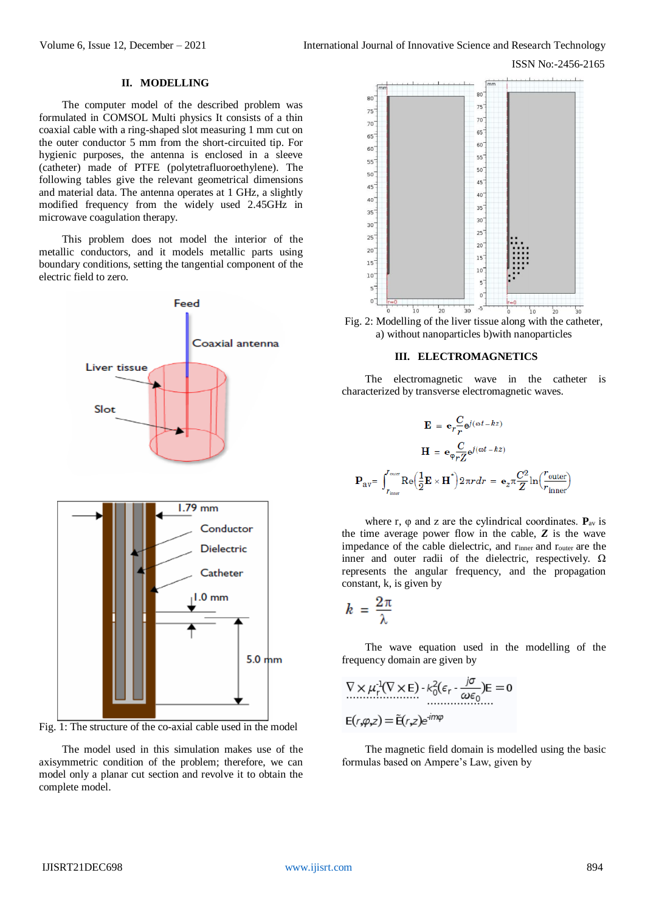ISSN No:-2456-2165

### **II. MODELLING**

The computer model of the described problem was formulated in COMSOL Multi physics It consists of a thin coaxial cable with a ring-shaped slot measuring 1 mm cut on the outer conductor 5 mm from the short-circuited tip. For hygienic purposes, the antenna is enclosed in a sleeve (catheter) made of PTFE (polytetrafluoroethylene). The following tables give the relevant geometrical dimensions and material data. The antenna operates at 1 GHz, a slightly modified frequency from the widely used 2.45GHz in microwave coagulation therapy.

This problem does not model the interior of the metallic conductors, and it models metallic parts using boundary conditions, setting the tangential component of the electric field to zero.



Fig. 1: The structure of the co-axial cable used in the model

The model used in this simulation makes use of the axisymmetric condition of the problem; therefore, we can model only a planar cut section and revolve it to obtain the complete model.



Fig. 2: Modelling of the liver tissue along with the catheter, a) without nanoparticles b)with nanoparticles

#### **III. ELECTROMAGNETICS**

The electromagnetic wave in the catheter is characterized by transverse electromagnetic waves.

$$
\mathbf{E} = \mathbf{e}_r \frac{C}{r} \mathbf{e}^{j(\omega t - kz)}
$$

$$
\mathbf{H} = \mathbf{e}_\varphi \frac{C}{rZ} \mathbf{e}^{j(\omega t - kz)}
$$

$$
\mathbf{P}_{\text{av}} = \int_{r_{\text{inner}}}^{r_{\text{outer}}} \text{Re} \Big( \frac{1}{2} \mathbf{E} \times \mathbf{H}^* \Big) 2\pi r dr = \mathbf{e}_z \pi \frac{C^2}{Z} \ln \Big( \frac{r_{\text{outer}}}{r_{\text{inner}}} \Big)
$$

where r,  $\varphi$  and z are the cylindrical coordinates.  $P_{av}$  is the time average power flow in the cable, *Z* is the wave impedance of the cable dielectric, and rinner and router are the inner and outer radii of the dielectric, respectively.  $\Omega$ represents the angular frequency, and the propagation constant, k, is given by

$$
k = \frac{2\pi}{\lambda}
$$

The wave equation used in the modelling of the frequency domain are given by

$$
\nabla \times \mu_r^{-1}(\nabla \times \mathbf{E}) - k_0^2 (\varepsilon_r - \frac{j\sigma}{\omega \varepsilon_0}) \mathbf{E} = 0
$$
  
 
$$
\mathbf{E}(r, \varphi, z) = \mathbf{\tilde{E}}(r, z) e^{im\varphi}
$$

The magnetic field domain is modelled using the basic formulas based on Ampere's Law, given by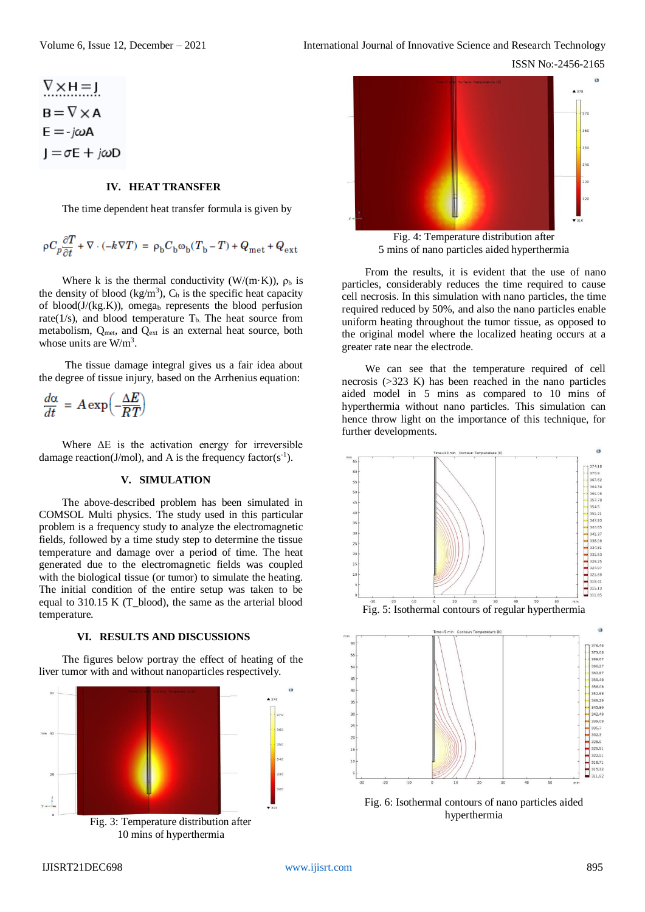ISSN No:-2456-2165

 $\overline{a}$ 

$$
\begin{aligned}\n\frac{\nabla \times H = 1}{\n\Delta \times H} &= \nabla \times A \\
E = -j\omega A \\
J = \sigma E + j\omega D\n\end{aligned}
$$

#### **IV. HEAT TRANSFER**

The time dependent heat transfer formula is given by

$$
\rho C_p \frac{\partial T}{\partial t} + \nabla \cdot (-k \nabla T) = \rho_b C_b \omega_b (T_b - T) + Q_{\text{met}} + Q_{\text{ext}}
$$

Where k is the thermal conductivity (W/(m·K)),  $\rho_b$  is the density of blood  $(kg/m<sup>3</sup>)$ ,  $C_b$  is the specific heat capacity of blood( $J/(kg.K)$ ), omega<sub>b</sub> represents the blood perfusion rate(1/s), and blood temperature  $T<sub>b</sub>$ . The heat source from metabolism, Q<sub>met</sub>, and Q<sub>ext</sub> is an external heat source, both whose units are  $W/m<sup>3</sup>$ .

The tissue damage integral gives us a fair idea about the degree of tissue injury, based on the Arrhenius equation:

$$
\frac{d\alpha}{dt} = A \exp\left(-\frac{\Delta E}{RT}\right)
$$

Where  $\Delta E$  is the activation energy for irreversible damage reaction(J/mol), and A is the frequency factor( $s^{-1}$ ).

#### **V. SIMULATION**

The above-described problem has been simulated in COMSOL Multi physics. The study used in this particular problem is a frequency study to analyze the electromagnetic fields, followed by a time study step to determine the tissue temperature and damage over a period of time. The heat generated due to the electromagnetic fields was coupled with the biological tissue (or tumor) to simulate the heating. The initial condition of the entire setup was taken to be equal to 310.15 K (T\_blood), the same as the arterial blood temperature.

#### **VI. RESULTS AND DISCUSSIONS**

The figures below portray the effect of heating of the liver tumor with and without nanoparticles respectively.







From the results, it is evident that the use of nano particles, considerably reduces the time required to cause cell necrosis. In this simulation with nano particles, the time required reduced by 50%, and also the nano particles enable uniform heating throughout the tumor tissue, as opposed to the original model where the localized heating occurs at a greater rate near the electrode.

We can see that the temperature required of cell necrosis (>323 K) has been reached in the nano particles aided model in 5 mins as compared to 10 mins of hyperthermia without nano particles. This simulation can hence throw light on the importance of this technique, for further developments.



hyperthermia